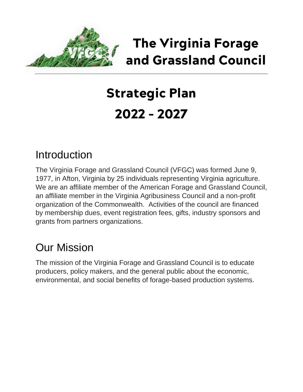

## *The Virginia Forage and Grassland Council*

# *Strategic Plan 2022 – 2027*

### **Introduction**

The Virginia Forage and Grassland Council (VFGC) was formed June 9, 1977, in Afton, Virginia by 25 individuals representing Virginia agriculture. We are an affiliate member of the American Forage and Grassland Council, an affiliate member in the Virginia Agribusiness Council and a non-profit organization of the Commonwealth. Activities of the council are financed by membership dues, event registration fees, gifts, industry sponsors and grants from partners organizations.

## Our Mission

The mission of the Virginia Forage and Grassland Council is to educate producers, policy makers, and the general public about the economic, environmental, and social benefits of forage-based production systems.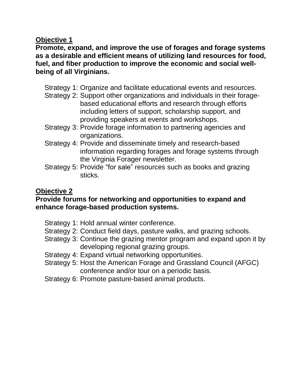#### **Objective 1**

**Promote, expand, and improve the use of forages and forage systems as a desirable and efficient means of utilizing land resources for food, fuel, and fiber production to improve the economic and social wellbeing of all Virginians.**

- Strategy 1: Organize and facilitate educational events and resources.
- Strategy 2: Support other organizations and individuals in their foragebased educational efforts and research through efforts including letters of support, scholarship support, and providing speakers at events and workshops.
- Strategy 3: Provide forage information to partnering agencies and organizations.
- Strategy 4: Provide and disseminate timely and research-based information regarding forages and forage systems through the Virginia Forager newsletter.
- Strategy 5: Provide "for sale" resources such as books and grazing sticks.

#### **Objective 2**

#### **Provide forums for networking and opportunities to expand and enhance forage-based production systems.**

- Strategy 1: Hold annual winter conference.
- Strategy 2: Conduct field days, pasture walks, and grazing schools.
- Strategy 3: Continue the grazing mentor program and expand upon it by developing regional grazing groups.
- Strategy 4: Expand virtual networking opportunities.
- Strategy 5: Host the American Forage and Grassland Council (AFGC) conference and/or tour on a periodic basis.
- Strategy 6: Promote pasture-based animal products.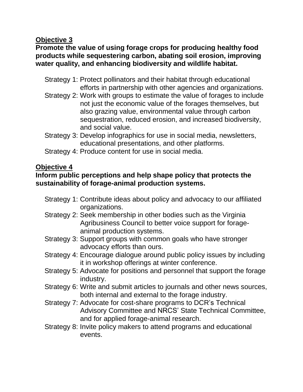#### **Objective 3**

#### **Promote the value of using forage crops for producing healthy food products while sequestering carbon, abating soil erosion, improving water quality, and enhancing biodiversity and wildlife habitat.**

- Strategy 1: Protect pollinators and their habitat through educational efforts in partnership with other agencies and organizations.
- Strategy 2: Work with groups to estimate the value of forages to include not just the economic value of the forages themselves, but also grazing value, environmental value through carbon sequestration, reduced erosion, and increased biodiversity, and social value.
- Strategy 3: Develop infographics for use in social media, newsletters, educational presentations, and other platforms.
- Strategy 4: Produce content for use in social media.

#### **Objective 4**

#### **Inform public perceptions and help shape policy that protects the sustainability of forage-animal production systems.**

- Strategy 1: Contribute ideas about policy and advocacy to our affiliated organizations.
- Strategy 2: Seek membership in other bodies such as the Virginia Agribusiness Council to better voice support for forageanimal production systems.
- Strategy 3: Support groups with common goals who have stronger advocacy efforts than ours.
- Strategy 4: Encourage dialogue around public policy issues by including it in workshop offerings at winter conference.
- Strategy 5: Advocate for positions and personnel that support the forage industry.
- Strategy 6: Write and submit articles to journals and other news sources, both internal and external to the forage industry.
- Strategy 7: Advocate for cost-share programs to DCR's Technical Advisory Committee and NRCS' State Technical Committee, and for applied forage-animal research.
- Strategy 8: Invite policy makers to attend programs and educational events.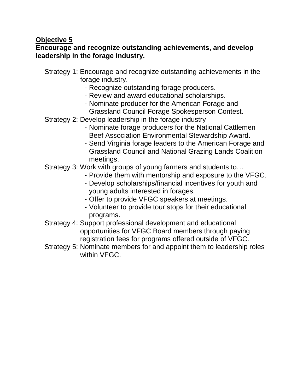#### **Objective 5**

#### **Encourage and recognize outstanding achievements, and develop leadership in the forage industry.**

- Strategy 1: Encourage and recognize outstanding achievements in the forage industry.
	- Recognize outstanding forage producers.
	- Review and award educational scholarships.
	- Nominate producer for the American Forage and Grassland Council Forage Spokesperson Contest.
- Strategy 2: Develop leadership in the forage industry
	- Nominate forage producers for the National Cattlemen Beef Association Environmental Stewardship Award.
	- Send Virginia forage leaders to the American Forage and Grassland Council and National Grazing Lands Coalition meetings.
- Strategy 3: Work with groups of young farmers and students to…
	- Provide them with mentorship and exposure to the VFGC.
	- Develop scholarships/financial incentives for youth and young adults interested in forages.
	- Offer to provide VFGC speakers at meetings.
	- Volunteer to provide tour stops for their educational programs.
- Strategy 4: Support professional development and educational opportunities for VFGC Board members through paying registration fees for programs offered outside of VFGC.
- Strategy 5: Nominate members for and appoint them to leadership roles within VFGC.